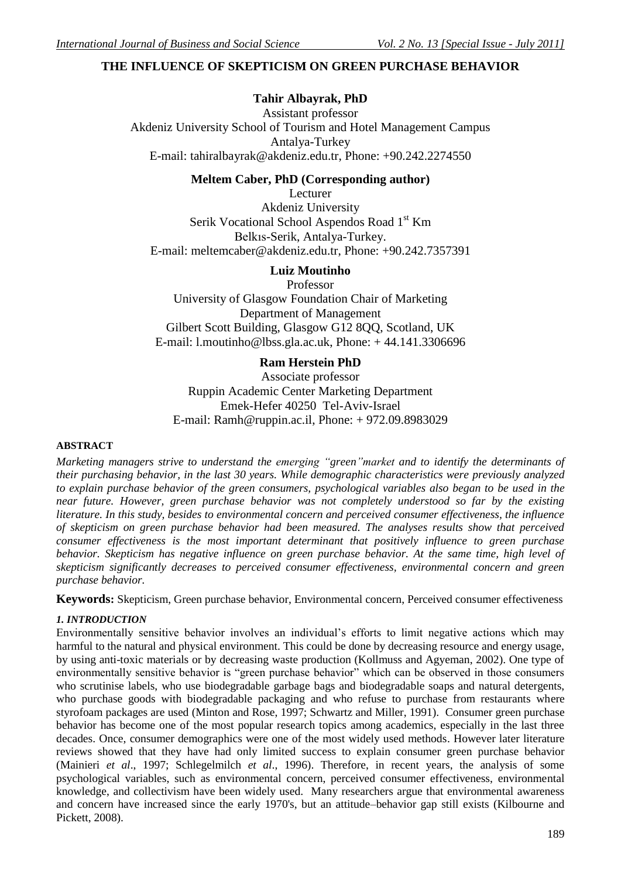# **THE INFLUENCE OF SKEPTICISM ON GREEN PURCHASE BEHAVIOR**

## **Tahir Albayrak, PhD**

Assistant professor Akdeniz University School of Tourism and Hotel Management Campus Antalya-Turkey E-mail: tahiralbayrak@akdeniz.edu.tr, Phone: +90.242.2274550

## **Meltem Caber, PhD (Corresponding author)**

Lecturer Akdeniz University Serik Vocational School Aspendos Road 1<sup>st</sup> Km Belkıs-Serik, Antalya-Turkey. E-mail: meltemcaber@akdeniz.edu.tr, Phone: +90.242.7357391

# **Luiz Moutinho**

Professor

University of Glasgow Foundation Chair of Marketing Department of Management Gilbert Scott Building, Glasgow G12 8OO, Scotland, UK E-mail: l.moutinho@lbss.gla.ac.uk, Phone: + 44.141.3306696

### **Ram Herstein PhD**

Associate professor Ruppin Academic Center Marketing Department Emek-Hefer 40250 Tel-Aviv-Israel E-mail: Ramh@ruppin.ac.il, Phone: + 972.09.8983029

### **ABSTRACT**

*Marketing managers strive to understand the emerging "green"market and to identify the determinants of their purchasing behavior, in the last 30 years. While demographic characteristics were previously analyzed to explain purchase behavior of the green consumers, psychological variables also began to be used in the near future. However, green purchase behavior was not completely understood so far by the existing literature. In this study, besides to environmental concern and perceived consumer effectiveness, the influence of skepticism on green purchase behavior had been measured. The analyses results show that perceived consumer effectiveness is the most important determinant that positively influence to green purchase behavior. Skepticism has negative influence on green purchase behavior. At the same time, high level of skepticism significantly decreases to perceived consumer effectiveness, environmental concern and green purchase behavior.* 

**Keywords:** Skepticism, Green purchase behavior, Environmental concern, Perceived consumer effectiveness

### *1. INTRODUCTION*

Environmentally sensitive behavior involves an individual's efforts to limit negative actions which may harmful to the natural and physical environment. This could be done by decreasing resource and energy usage, by using anti-toxic materials or by decreasing waste production (Kollmuss and Agyeman, 2002). One type of environmentally sensitive behavior is "green purchase behavior" which can be observed in those consumers who scrutinise labels, who use biodegradable garbage bags and biodegradable soaps and natural detergents, who purchase goods with biodegradable packaging and who refuse to purchase from restaurants where styrofoam packages are used (Minton and Rose, 1997; Schwartz and Miller, 1991). Consumer green purchase behavior has become one of the most popular research topics among academics, especially in the last three decades. Once, consumer demographics were one of the most widely used methods. However later literature reviews showed that they have had only limited success to explain consumer green purchase behavior (Mainieri *et al*., 1997; Schlegelmilch *et al*., 1996). Therefore, in recent years, the analysis of some psychological variables, such as environmental concern, perceived consumer effectiveness, environmental knowledge, and collectivism have been widely used. Many researchers argue that environmental awareness and concern have increased since the early 1970's, but an attitude–behavior gap still exists (Kilbourne and Pickett, 2008).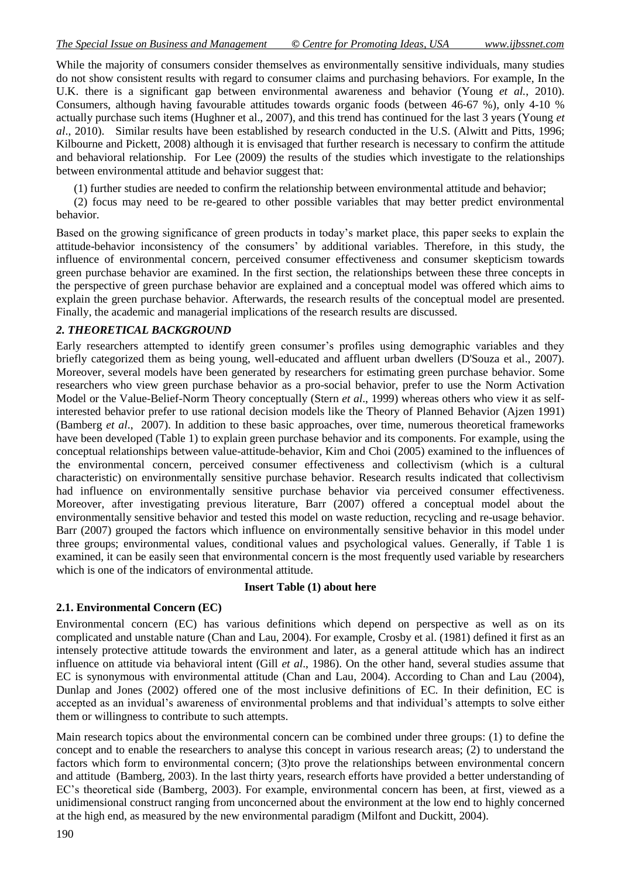While the majority of consumers consider themselves as environmentally sensitive individuals, many studies do not show consistent results with regard to consumer claims and purchasing behaviors. For example, In the U.K. there is a significant gap between environmental awareness and behavior (Young *et al.*, 2010). Consumers, although having favourable attitudes towards organic foods (between 46-67 %), only 4-10 % actually purchase such items (Hughner et al., 2007), and this trend has continued for the last 3 years (Young *et al*., 2010). Similar results have been established by research conducted in the U.S. (Alwitt and Pitts, 1996; Kilbourne and Pickett, 2008) although it is envisaged that further research is necessary to confirm the attitude and behavioral relationship. For Lee (2009) the results of the studies which investigate to the relationships between environmental attitude and behavior suggest that:

(1) further studies are needed to confirm the relationship between environmental attitude and behavior;

(2) focus may need to be re-geared to other possible variables that may better predict environmental behavior.

Based on the growing significance of green products in today's market place, this paper seeks to explain the attitude-behavior inconsistency of the consumers' by additional variables. Therefore, in this study, the influence of environmental concern, perceived consumer effectiveness and consumer skepticism towards green purchase behavior are examined. In the first section, the relationships between these three concepts in the perspective of green purchase behavior are explained and a conceptual model was offered which aims to explain the green purchase behavior. Afterwards, the research results of the conceptual model are presented. Finally, the academic and managerial implications of the research results are discussed.

## *2. THEORETICAL BACKGROUND*

Early researchers attempted to identify green consumer's profiles using demographic variables and they briefly categorized them as being young, well-educated and affluent urban dwellers (D'Souza et al., 2007). Moreover, several models have been generated by researchers for estimating green purchase behavior. Some researchers who view green purchase behavior as a pro-social behavior, prefer to use the Norm Activation Model or the Value-Belief-Norm Theory conceptually (Stern *et al*., 1999) whereas others who view it as selfinterested behavior prefer to use rational decision models like the Theory of Planned Behavior (Ajzen 1991) (Bamberg *et al*., 2007). In addition to these basic approaches, over time, numerous theoretical frameworks have been developed (Table 1) to explain green purchase behavior and its components. For example, using the conceptual relationships between value-attitude-behavior, Kim and Choi (2005) examined to the influences of the environmental concern, perceived consumer effectiveness and collectivism (which is a cultural characteristic) on environmentally sensitive purchase behavior. Research results indicated that collectivism had influence on environmentally sensitive purchase behavior via perceived consumer effectiveness. Moreover, after investigating previous literature, Barr (2007) offered a conceptual model about the environmentally sensitive behavior and tested this model on waste reduction, recycling and re-usage behavior. Barr (2007) grouped the factors which influence on environmentally sensitive behavior in this model under three groups; environmental values, conditional values and psychological values. Generally, if Table 1 is examined, it can be easily seen that environmental concern is the most frequently used variable by researchers which is one of the indicators of environmental attitude.

## **Insert Table (1) about here**

## **2.1. Environmental Concern (EC)**

Environmental concern (EC) has various definitions which depend on perspective as well as on its complicated and unstable nature (Chan and Lau, 2004). For example, Crosby et al. (1981) defined it first as an intensely protective attitude towards the environment and later, as a general attitude which has an indirect influence on attitude via behavioral intent (Gill *et al*., 1986). On the other hand, several studies assume that EC is synonymous with environmental attitude (Chan and Lau, 2004). According to Chan and Lau (2004), Dunlap and Jones (2002) offered one of the most inclusive definitions of EC. In their definition, EC is accepted as an invidual's awareness of environmental problems and that individual's attempts to solve either them or willingness to contribute to such attempts.

Main research topics about the environmental concern can be combined under three groups: (1) to define the concept and to enable the researchers to analyse this concept in various research areas; (2) to understand the factors which form to environmental concern; (3)to prove the relationships between environmental concern and attitude (Bamberg, 2003). In the last thirty years, research efforts have provided a better understanding of EC's theoretical side (Bamberg, 2003). For example, environmental concern has been, at first, viewed as a unidimensional construct ranging from unconcerned about the environment at the low end to highly concerned at the high end, as measured by the new environmental paradigm (Milfont and Duckitt, 2004).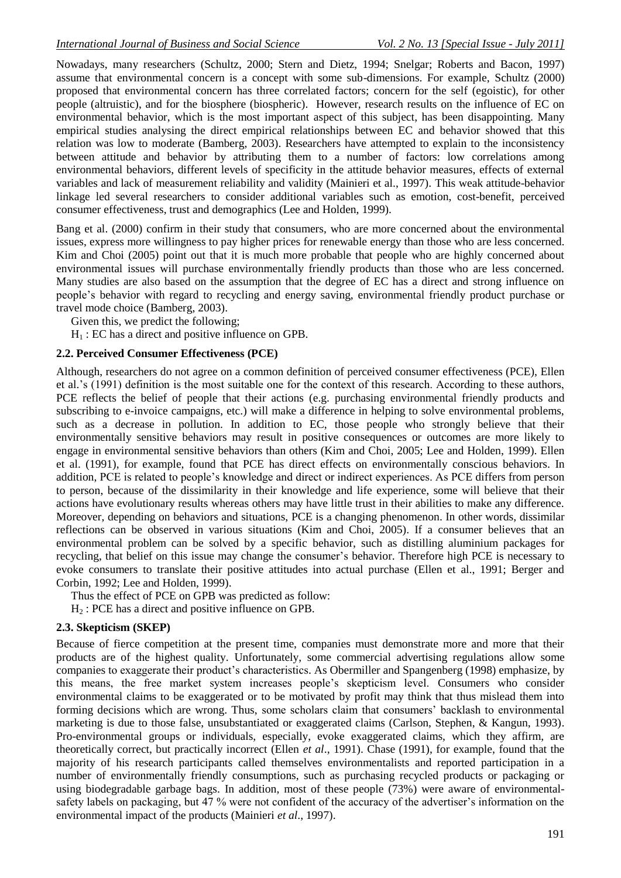Nowadays, many researchers (Schultz, 2000; Stern and Dietz, 1994; Snelgar; Roberts and Bacon, 1997) assume that environmental concern is a concept with some sub-dimensions. For example, Schultz (2000) proposed that environmental concern has three correlated factors; concern for the self (egoistic), for other people (altruistic), and for the biosphere (biospheric). However, research results on the influence of EC on environmental behavior, which is the most important aspect of this subject, has been disappointing. Many empirical studies analysing the direct empirical relationships between EC and behavior showed that this relation was low to moderate (Bamberg, 2003). Researchers have attempted to explain to the inconsistency between attitude and behavior by attributing them to a number of factors: low correlations among environmental behaviors, different levels of specificity in the attitude behavior measures, effects of external variables and lack of measurement reliability and validity (Mainieri et al., 1997). This weak attitude-behavior linkage led several researchers to consider additional variables such as emotion, cost-benefit, perceived consumer effectiveness, trust and demographics (Lee and Holden, 1999).

Bang et al. (2000) confirm in their study that consumers, who are more concerned about the environmental issues, express more willingness to pay higher prices for renewable energy than those who are less concerned. Kim and Choi (2005) point out that it is much more probable that people who are highly concerned about environmental issues will purchase environmentally friendly products than those who are less concerned. Many studies are also based on the assumption that the degree of EC has a direct and strong influence on people's behavior with regard to recycling and energy saving, environmental friendly product purchase or travel mode choice (Bamberg, 2003).

Given this, we predict the following;

 $H<sub>1</sub>$ : EC has a direct and positive influence on GPB.

#### **2.2. Perceived Consumer Effectiveness (PCE)**

Although, researchers do not agree on a common definition of perceived consumer effectiveness (PCE), Ellen et al.'s (1991) definition is the most suitable one for the context of this research. According to these authors, PCE reflects the belief of people that their actions (e.g. purchasing environmental friendly products and subscribing to e-invoice campaigns, etc.) will make a difference in helping to solve environmental problems, such as a decrease in pollution. In addition to EC, those people who strongly believe that their environmentally sensitive behaviors may result in positive consequences or outcomes are more likely to engage in environmental sensitive behaviors than others (Kim and Choi, 2005; Lee and Holden, 1999). Ellen et al. (1991), for example, found that PCE has direct effects on environmentally conscious behaviors. In addition, PCE is related to people's knowledge and direct or indirect experiences. As PCE differs from person to person, because of the dissimilarity in their knowledge and life experience, some will believe that their actions have evolutionary results whereas others may have little trust in their abilities to make any difference. Moreover, depending on behaviors and situations, PCE is a changing phenomenon. In other words, dissimilar reflections can be observed in various situations (Kim and Choi, 2005). If a consumer believes that an environmental problem can be solved by a specific behavior, such as distilling aluminium packages for recycling, that belief on this issue may change the consumer's behavior. Therefore high PCE is necessary to evoke consumers to translate their positive attitudes into actual purchase (Ellen et al., 1991; Berger and Corbin, 1992; Lee and Holden, 1999).

Thus the effect of PCE on GPB was predicted as follow:

 $H<sub>2</sub>$ : PCE has a direct and positive influence on GPB.

### **2.3. Skepticism (SKEP)**

Because of fierce competition at the present time, companies must demonstrate more and more that their products are of the highest quality. Unfortunately, some commercial advertising regulations allow some companies to exaggerate their product's characteristics. As Obermiller and Spangenberg (1998) emphasize, by this means, the free market system increases people's skepticism level. Consumers who consider environmental claims to be exaggerated or to be motivated by profit may think that thus mislead them into forming decisions which are wrong. Thus, some scholars claim that consumers' backlash to environmental marketing is due to those false, unsubstantiated or exaggerated claims (Carlson, Stephen, & Kangun, 1993). Pro-environmental groups or individuals, especially, evoke exaggerated claims, which they affirm, are theoretically correct, but practically incorrect (Ellen *et al*., 1991). Chase (1991), for example, found that the majority of his research participants called themselves environmentalists and reported participation in a number of environmentally friendly consumptions, such as purchasing recycled products or packaging or using biodegradable garbage bags. In addition, most of these people (73%) were aware of environmentalsafety labels on packaging, but 47 % were not confident of the accuracy of the advertiser's information on the environmental impact of the products (Mainieri *et al*., 1997).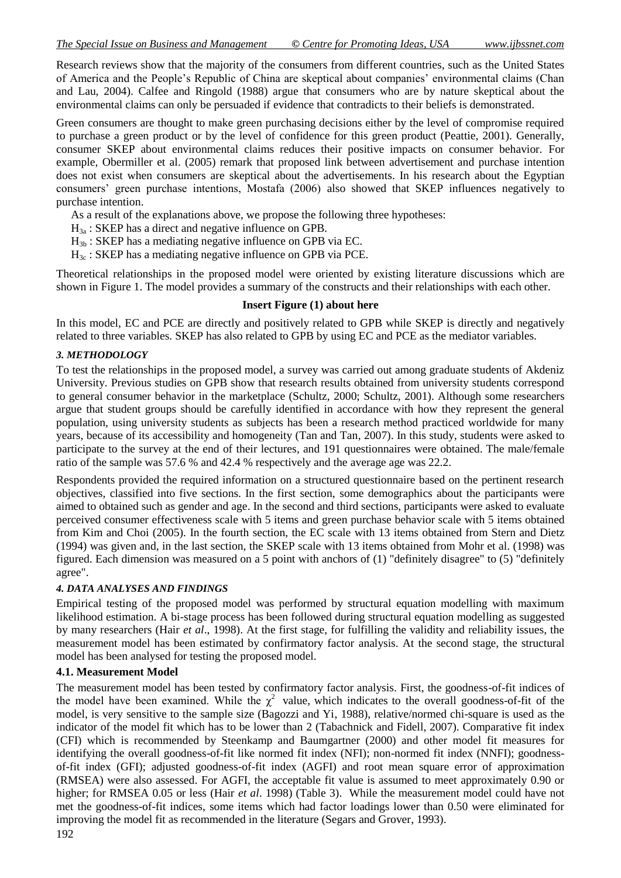Research reviews show that the majority of the consumers from different countries, such as the United States of America and the People's Republic of China are skeptical about companies' environmental claims (Chan and Lau, 2004). Calfee and Ringold (1988) argue that consumers who are by nature skeptical about the environmental claims can only be persuaded if evidence that contradicts to their beliefs is demonstrated.

Green consumers are thought to make green purchasing decisions either by the level of compromise required to purchase a green product or by the level of confidence for this green product (Peattie, 2001). Generally, consumer SKEP about environmental claims reduces their positive impacts on consumer behavior. For example, Obermiller et al. (2005) remark that proposed link between advertisement and purchase intention does not exist when consumers are skeptical about the advertisements. In his research about the Egyptian consumers' green purchase intentions, Mostafa (2006) also showed that SKEP influences negatively to purchase intention.

As a result of the explanations above, we propose the following three hypotheses:

 $H_{3a}$ : SKEP has a direct and negative influence on GPB.

 $H_{3b}$ : SKEP has a mediating negative influence on GPB via EC.

 $H_{3c}$ : SKEP has a mediating negative influence on GPB via PCE.

Theoretical relationships in the proposed model were oriented by existing literature discussions which are shown in Figure 1. The model provides a summary of the constructs and their relationships with each other.

### **Insert Figure (1) about here**

In this model, EC and PCE are directly and positively related to GPB while SKEP is directly and negatively related to three variables. SKEP has also related to GPB by using EC and PCE as the mediator variables.

### *3. METHODOLOGY*

To test the relationships in the proposed model, a survey was carried out among graduate students of Akdeniz University. Previous studies on GPB show that research results obtained from university students correspond to general consumer behavior in the marketplace (Schultz, 2000; Schultz, 2001). Although some researchers argue that student groups should be carefully identified in accordance with how they represent the general population, using university students as subjects has been a research method practiced worldwide for many years, because of its accessibility and homogeneity (Tan and Tan, 2007). In this study, students were asked to participate to the survey at the end of their lectures, and 191 questionnaires were obtained. The male/female ratio of the sample was 57.6 % and 42.4 % respectively and the average age was 22.2.

Respondents provided the required information on a structured questionnaire based on the pertinent research objectives, classified into five sections. In the first section, some demographics about the participants were aimed to obtained such as gender and age. In the second and third sections, participants were asked to evaluate perceived consumer effectiveness scale with 5 items and green purchase behavior scale with 5 items obtained from Kim and Choi (2005). In the fourth section, the EC scale with 13 items obtained from Stern and Dietz (1994) was given and, in the last section, the SKEP scale with 13 items obtained from Mohr et al. (1998) was figured. Each dimension was measured on a 5 point with anchors of (1) "definitely disagree" to (5) "definitely agree".

## *4. DATA ANALYSES AND FINDINGS*

Empirical testing of the proposed model was performed by structural equation modelling with maximum likelihood estimation. A bi-stage process has been followed during structural equation modelling as suggested by many researchers (Hair *et al*., 1998). At the first stage, for fulfilling the validity and reliability issues, the measurement model has been estimated by confirmatory factor analysis. At the second stage, the structural model has been analysed for testing the proposed model.

### **4.1. Measurement Model**

The measurement model has been tested by confirmatory factor analysis. First, the goodness-of-fit indices of the model have been examined. While the  $\chi^2$  value, which indicates to the overall goodness-of-fit of the model, is very sensitive to the sample size (Bagozzi and Yi, 1988), relative/normed chi-square is used as the indicator of the model fit which has to be lower than 2 (Tabachnick and Fidell, 2007). Comparative fit index (CFI) which is recommended by Steenkamp and Baumgartner (2000) and other model fit measures for identifying the overall goodness-of-fit like normed fit index (NFI); non-normed fit index (NNFI); goodnessof-fit index (GFI); adjusted goodness-of-fit index (AGFI) and root mean square error of approximation (RMSEA) were also assessed. For AGFI, the acceptable fit value is assumed to meet approximately 0.90 or higher; for RMSEA 0.05 or less (Hair *et al*. 1998) (Table 3). While the measurement model could have not met the goodness-of-fit indices, some items which had factor loadings lower than 0.50 were eliminated for improving the model fit as recommended in the literature (Segars and Grover, 1993).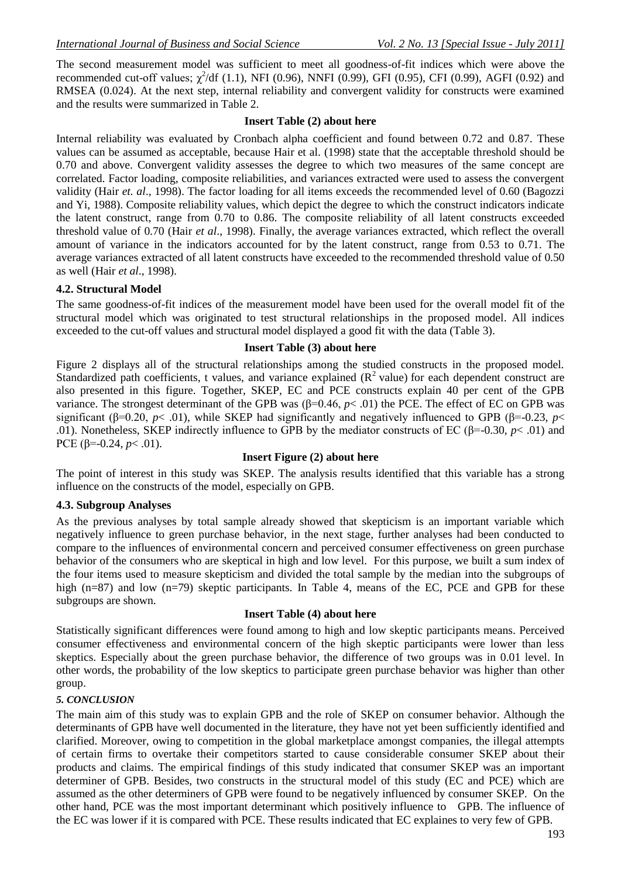The second measurement model was sufficient to meet all goodness-of-fit indices which were above the recommended cut-off values;  $\chi^2$ /df (1.1), NFI (0.96), NNFI (0.99), GFI (0.95), CFI (0.99), AGFI (0.92) and RMSEA (0.024). At the next step, internal reliability and convergent validity for constructs were examined and the results were summarized in Table 2.

## **Insert Table (2) about here**

Internal reliability was evaluated by Cronbach alpha coefficient and found between 0.72 and 0.87. These values can be assumed as acceptable, because Hair et al. (1998) state that the acceptable threshold should be 0.70 and above. Convergent validity assesses the degree to which two measures of the same concept are correlated. Factor loading, composite reliabilities, and variances extracted were used to assess the convergent validity (Hair *et. al*., 1998). The factor loading for all items exceeds the recommended level of 0.60 (Bagozzi and Yi, 1988). Composite reliability values, which depict the degree to which the construct indicators indicate the latent construct, range from 0.70 to 0.86. The composite reliability of all latent constructs exceeded threshold value of 0.70 (Hair *et al*., 1998). Finally, the average variances extracted, which reflect the overall amount of variance in the indicators accounted for by the latent construct, range from 0.53 to 0.71. The average variances extracted of all latent constructs have exceeded to the recommended threshold value of 0.50 as well (Hair *et al*., 1998).

## **4.2. Structural Model**

The same goodness-of-fit indices of the measurement model have been used for the overall model fit of the structural model which was originated to test structural relationships in the proposed model. All indices exceeded to the cut-off values and structural model displayed a good fit with the data (Table 3).

## **Insert Table (3) about here**

Figure 2 displays all of the structural relationships among the studied constructs in the proposed model. Standardized path coefficients, t values, and variance explained  $(R^2 \text{ value})$  for each dependent construct are also presented in this figure. Together, SKEP, EC and PCE constructs explain 40 per cent of the GPB variance. The strongest determinant of the GPB was (β=0.46, *p*< .01) the PCE. The effect of EC on GPB was significant ( $\beta$ =0.20, *p*< .01), while SKEP had significantly and negatively influenced to GPB ( $\beta$ =-0.23, *p*< .01). Nonetheless, SKEP indirectly influence to GPB by the mediator constructs of EC ( $\beta$ =-0.30, *p*< .01) and PCE  $(\beta = 0.24, p < .01)$ .

### **Insert Figure (2) about here**

The point of interest in this study was SKEP. The analysis results identified that this variable has a strong influence on the constructs of the model, especially on GPB.

### **4.3. Subgroup Analyses**

As the previous analyses by total sample already showed that skepticism is an important variable which negatively influence to green purchase behavior, in the next stage, further analyses had been conducted to compare to the influences of environmental concern and perceived consumer effectiveness on green purchase behavior of the consumers who are skeptical in high and low level. For this purpose, we built a sum index of the four items used to measure skepticism and divided the total sample by the median into the subgroups of high (n=87) and low (n=79) skeptic participants. In Table 4, means of the EC, PCE and GPB for these subgroups are shown.

### **Insert Table (4) about here**

Statistically significant differences were found among to high and low skeptic participants means. Perceived consumer effectiveness and environmental concern of the high skeptic participants were lower than less skeptics. Especially about the green purchase behavior, the difference of two groups was in 0.01 level. In other words, the probability of the low skeptics to participate green purchase behavior was higher than other group.

### *5. CONCLUSION*

The main aim of this study was to explain GPB and the role of SKEP on consumer behavior. Although the determinants of GPB have well documented in the literature, they have not yet been sufficiently identified and clarified. Moreover, owing to competition in the global marketplace amongst companies, the illegal attempts of certain firms to overtake their competitors started to cause considerable consumer SKEP about their products and claims. The empirical findings of this study indicated that consumer SKEP was an important determiner of GPB. Besides, two constructs in the structural model of this study (EC and PCE) which are assumed as the other determiners of GPB were found to be negatively influenced by consumer SKEP. On the other hand, PCE was the most important determinant which positively influence to GPB. The influence of the EC was lower if it is compared with PCE. These results indicated that EC explaines to very few of GPB.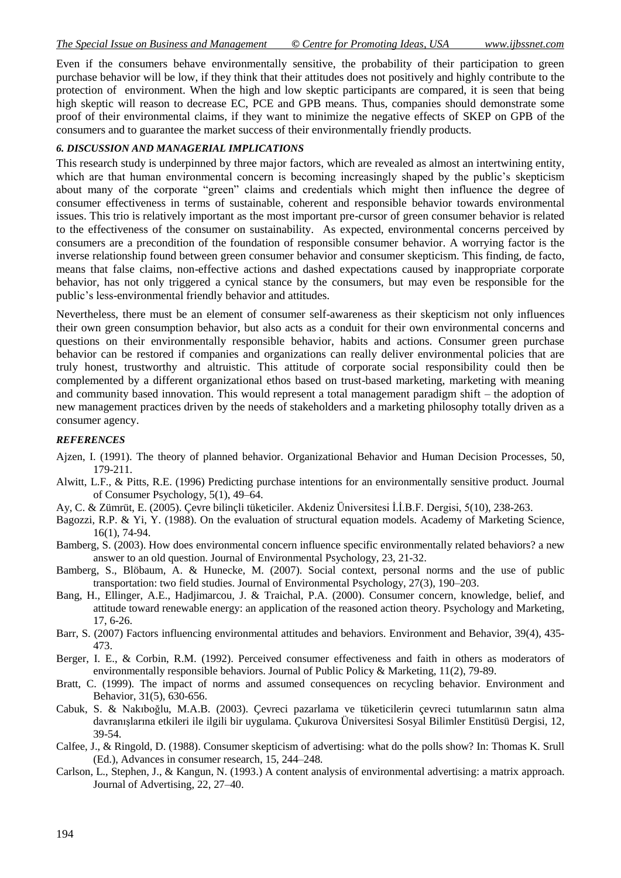Even if the consumers behave environmentally sensitive, the probability of their participation to green purchase behavior will be low, if they think that their attitudes does not positively and highly contribute to the protection of environment. When the high and low skeptic participants are compared, it is seen that being high skeptic will reason to decrease EC, PCE and GPB means. Thus, companies should demonstrate some proof of their environmental claims, if they want to minimize the negative effects of SKEP on GPB of the consumers and to guarantee the market success of their environmentally friendly products.

### *6. DISCUSSION AND MANAGERIAL IMPLICATIONS*

This research study is underpinned by three major factors, which are revealed as almost an intertwining entity, which are that human environmental concern is becoming increasingly shaped by the public's skepticism about many of the corporate "green" claims and credentials which might then influence the degree of consumer effectiveness in terms of sustainable, coherent and responsible behavior towards environmental issues. This trio is relatively important as the most important pre-cursor of green consumer behavior is related to the effectiveness of the consumer on sustainability. As expected, environmental concerns perceived by consumers are a precondition of the foundation of responsible consumer behavior. A worrying factor is the inverse relationship found between green consumer behavior and consumer skepticism. This finding, de facto, means that false claims, non-effective actions and dashed expectations caused by inappropriate corporate behavior, has not only triggered a cynical stance by the consumers, but may even be responsible for the public's less-environmental friendly behavior and attitudes.

Nevertheless, there must be an element of consumer self-awareness as their skepticism not only influences their own green consumption behavior, but also acts as a conduit for their own environmental concerns and questions on their environmentally responsible behavior, habits and actions. Consumer green purchase behavior can be restored if companies and organizations can really deliver environmental policies that are truly honest, trustworthy and altruistic. This attitude of corporate social responsibility could then be complemented by a different organizational ethos based on trust-based marketing, marketing with meaning and community based innovation. This would represent a total management paradigm shift – the adoption of new management practices driven by the needs of stakeholders and a marketing philosophy totally driven as a consumer agency.

## *REFERENCES*

- Ajzen, I. (1991). The theory of planned behavior. Organizational Behavior and Human Decision Processes, 50, 179-211.
- Alwitt, L.F., & Pitts, R.E. (1996) Predicting purchase intentions for an environmentally sensitive product. Journal of Consumer Psychology, 5(1), 49–64.
- Ay, C. & Zümrüt, E. (2005). Çevre bilinçli tüketiciler. Akdeniz Üniversitesi İ.İ.B.F. Dergisi, 5(10), 238-263.
- Bagozzi, R.P. & Yi, Y. (1988). On the evaluation of structural equation models. Academy of Marketing Science, 16(1), 74-94.
- Bamberg, S. (2003). How does environmental concern influence specific environmentally related behaviors? a new answer to an old question. Journal of Environmental Psychology, 23, 21-32.
- Bamberg, S., Blöbaum, A. & Hunecke, M. (2007). Social context, personal norms and the use of public transportation: two field studies. Journal of Environmental Psychology, 27(3), 190–203.
- Bang, H., Ellinger, A.E., Hadjimarcou, J. & Traichal, P.A. (2000). Consumer concern, knowledge, belief, and attitude toward renewable energy: an application of the reasoned action theory. Psychology and Marketing, 17, 6-26.
- Barr, S. (2007) Factors influencing environmental attitudes and behaviors. Environment and Behavior, 39(4), 435- 473.
- Berger, I. E., & Corbin, R.M. (1992). Perceived consumer effectiveness and faith in others as moderators of environmentally responsible behaviors. Journal of Public Policy & Marketing, 11(2), 79-89.
- Bratt, C. (1999). The impact of norms and assumed consequences on recycling behavior. Environment and Behavior, 31(5), 630-656.
- Cabuk, S. & Nakıboğlu, M.A.B. (2003). Çevreci pazarlama ve tüketicilerin çevreci tutumlarının satın alma davranışlarına etkileri ile ilgili bir uygulama. Çukurova Üniversitesi Sosyal Bilimler Enstitüsü Dergisi, 12, 39-54.
- Calfee, J., & Ringold, D. (1988). Consumer skepticism of advertising: what do the polls show? In: Thomas K. Srull (Ed.), Advances in consumer research, 15, 244–248.
- Carlson, L., Stephen, J., & Kangun, N. (1993.) A content analysis of environmental advertising: a matrix approach. Journal of Advertising, 22, 27–40.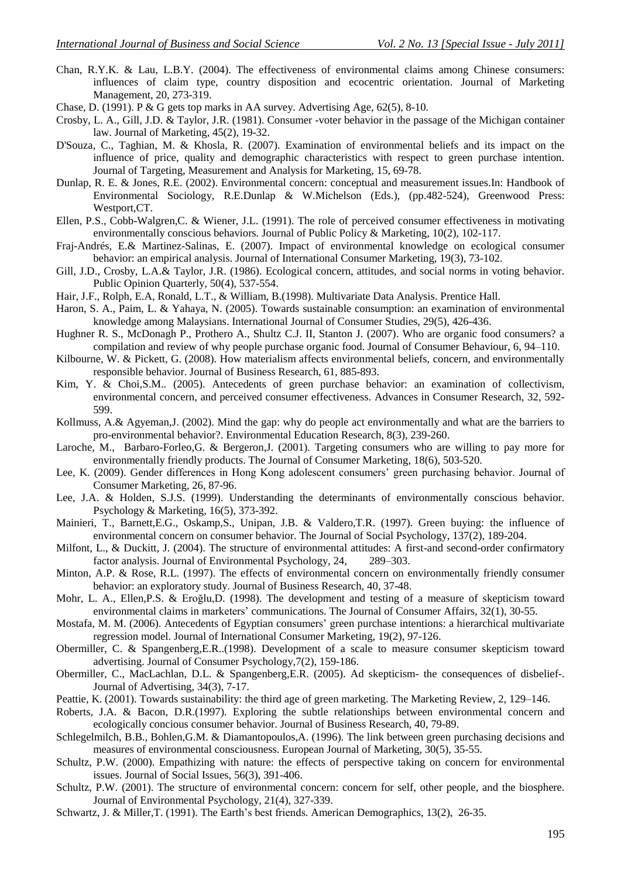- Chan, R.Y.K. & Lau, L.B.Y. (2004). The effectiveness of environmental claims among Chinese consumers: influences of claim type, country disposition and ecocentric orientation. Journal of Marketing Management, 20, 273-319.
- Chase, D. (1991). P & G gets top marks in AA survey. Advertising Age, 62(5), 8-10.
- Crosby, L. A., Gill, J.D. & Taylor, J.R. (1981). Consumer -voter behavior in the passage of the Michigan container law. Journal of Marketing, 45(2), 19-32.
- D'Souza, C., Taghian, M. & Khosla, R. (2007). Examination of environmental beliefs and its impact on the influence of price, quality and demographic characteristics with respect to green purchase intention. Journal of Targeting, Measurement and Analysis for Marketing, 15, 69-78.
- Dunlap, R. E. & Jones, R.E. (2002). Environmental concern: conceptual and measurement issues.In: Handbook of Environmental Sociology, R.E.Dunlap & W.Michelson (Eds.), (pp.482-524), Greenwood Press: Westport,CT.
- Ellen, P.S., Cobb-Walgren,C. & Wiener, J.L. (1991). The role of perceived consumer effectiveness in motivating environmentally conscious behaviors. Journal of Public Policy & Marketing, 10(2), 102-117.
- Fraj-Andrés, E.& Martinez-Salinas, E. (2007). Impact of environmental knowledge on ecological consumer behavior: an empirical analysis. Journal of International Consumer Marketing, 19(3), 73-102.
- Gill, J.D., Crosby, L.A.& Taylor, J.R. (1986). Ecological concern, attitudes, and social norms in voting behavior. Public Opinion Quarterly, 50(4), 537-554.
- Hair, J.F., Rolph, E.A, Ronald, L.T., & William, B.(1998). Multivariate Data Analysis. Prentice Hall.
- Haron, S. A., Paim, L. & Yahaya, N. (2005). Towards sustainable consumption: an examination of environmental knowledge among Malaysians. International Journal of Consumer Studies, 29(5), 426-436.
- Hughner R. S., McDonagh P., Prothero A., Shultz C.J. II, Stanton J. (2007). Who are organic food consumers? a compilation and review of why people purchase organic food. Journal of Consumer Behaviour, 6, 94–110.
- Kilbourne, W. & Pickett, G. (2008). How materialism affects environmental beliefs, concern, and environmentally responsible behavior. Journal of Business Research, 61, 885-893.
- Kim, Y. & Choi,S.M.. (2005). Antecedents of green purchase behavior: an examination of collectivism, environmental concern, and perceived consumer effectiveness. Advances in Consumer Research, 32, 592- 599.
- Kollmuss, A.& Agyeman,J. (2002). Mind the gap: why do people act environmentally and what are the barriers to pro-environmental behavior?. Environmental Education Research, 8(3), 239-260.
- Laroche, M., Barbaro-Forleo,G. & Bergeron,J. (2001). Targeting consumers who are willing to pay more for environmentally friendly products. The Journal of Consumer Marketing, 18(6), 503-520.
- Lee, K. (2009). Gender differences in Hong Kong adolescent consumers' green purchasing behavior. Journal of Consumer Marketing, 26, 87-96.
- Lee, J.A. & Holden, S.J.S. (1999). Understanding the determinants of environmentally conscious behavior. Psychology & Marketing, 16(5), 373-392.
- Mainieri, T., Barnett,E.G., Oskamp,S., Unipan, J.B. & Valdero,T.R. (1997). Green buying: the influence of environmental concern on consumer behavior. The Journal of Social Psychology, 137(2), 189-204.
- Milfont, L., & Duckitt, J. (2004). The structure of environmental attitudes: A first-and second-order confirmatory factor analysis. Journal of Environmental Psychology, 24, 289–303.
- Minton, A.P. & Rose, R.L. (1997). The effects of environmental concern on environmentally friendly consumer behavior: an exploratory study. Journal of Business Research, 40, 37-48.
- Mohr, L. A., Ellen,P.S. & Eroğlu,D. (1998). The development and testing of a measure of skepticism toward environmental claims in marketers' communications. The Journal of Consumer Affairs, 32(1), 30-55.
- Mostafa, M. M. (2006). Antecedents of Egyptian consumers' green purchase intentions: a hierarchical multivariate regression model. Journal of International Consumer Marketing, 19(2), 97-126.
- Obermiller, C. & Spangenberg,E.R..(1998). Development of a scale to measure consumer skepticism toward advertising. Journal of Consumer Psychology,7(2), 159-186.
- Obermiller, C., MacLachlan, D.L. & Spangenberg,E.R. (2005). Ad skepticism- the consequences of disbelief-. Journal of Advertising, 34(3), 7-17.
- Peattie, K. (2001). Towards sustainability: the third age of green marketing. The Marketing Review, 2, 129–146.
- Roberts, J.A. & Bacon, D.R.(1997). Exploring the subtle relationships between environmental concern and ecologically concious consumer behavior. Journal of Business Research, 40, 79-89.
- Schlegelmilch, B.B., Bohlen,G.M. & Diamantopoulos,A. (1996). The link between green purchasing decisions and measures of environmental consciousness. European Journal of Marketing, 30(5), 35-55.
- Schultz, P.W. (2000). Empathizing with nature: the effects of perspective taking on concern for environmental issues. Journal of Social Issues, 56(3), 391-406.
- Schultz, P.W. (2001). The structure of environmental concern: concern for self, other people, and the biosphere. Journal of Environmental Psychology, 21(4), 327-339.
- Schwartz, J. & Miller,T. (1991). The Earth's best friends. American Demographics, 13(2), 26-35.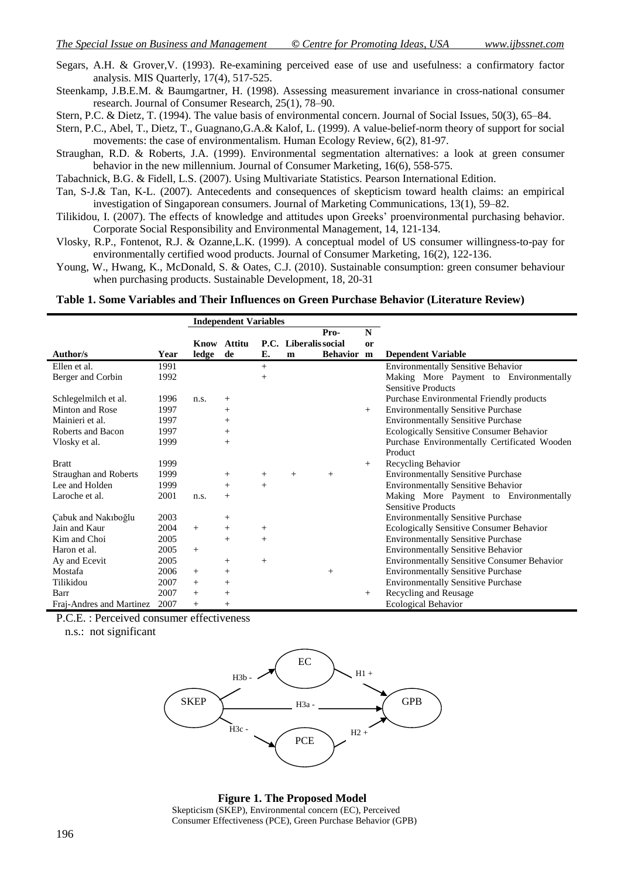Segars, A.H. & Grover,V. (1993). Re-examining perceived ease of use and usefulness: a confirmatory factor analysis. MIS Quarterly, 17(4), 517-525.

Steenkamp, J.B.E.M. & Baumgartner, H. (1998). Assessing measurement invariance in cross-national consumer research. Journal of Consumer Research, 25(1), 78–90.

Stern, P.C. & Dietz, T. (1994). The value basis of environmental concern. Journal of Social Issues, 50(3), 65–84.

Stern, P.C., Abel, T., Dietz, T., Guagnano,G.A.& Kalof, L. (1999). A value-belief-norm theory of support for social movements: the case of environmentalism. Human Ecology Review, 6(2), 81-97.

Straughan, R.D. & Roberts, J.A. (1999). Environmental segmentation alternatives: a look at green consumer behavior in the new millennium. Journal of Consumer Marketing, 16(6), 558-575.

Tabachnick, B.G. & Fidell, L.S. (2007). Using Multivariate Statistics. Pearson International Edition.

- Tan, S-J.& Tan, K-L. (2007). Antecedents and consequences of skepticism toward health claims: an empirical investigation of Singaporean consumers. Journal of Marketing Communications, 13(1), 59–82.
- Tilikidou, I. (2007). The effects of knowledge and attitudes upon Greeks' proenvironmental purchasing behavior. Corporate Social Responsibility and Environmental Management, 14, 121-134.
- Vlosky, R.P., Fontenot, R.J. & Ozanne,L.K. (1999). A conceptual model of US consumer willingness-to-pay for environmentally certified wood products. Journal of Consumer Marketing, 16(2), 122-136.
- Young, W., Hwang, K., McDonald, S. & Oates, C.J. (2010). Sustainable consumption: green consumer behaviour when purchasing products. Sustainable Development, 18, 20-31

**Table 1. Some Variables and Their Influences on Green Purchase Behavior (Literature Review)**

|                          |      | <b>Independent Variables</b> |        |                 |                       |            |               |                                                    |
|--------------------------|------|------------------------------|--------|-----------------|-----------------------|------------|---------------|----------------------------------------------------|
|                          |      |                              |        |                 |                       | Pro-       | N             |                                                    |
|                          |      | Know                         | Attitu |                 | P.C. Liberalis social |            | <sub>or</sub> |                                                    |
| Author/s                 | Year | ledge                        | de     | E.              | m                     | Behavior m |               | <b>Dependent Variable</b>                          |
| Ellen et al.             | 1991 |                              |        | $^{+}$          |                       |            |               | <b>Environmentally Sensitive Behavior</b>          |
| Berger and Corbin        | 1992 |                              |        | $\! + \!\!\!\!$ |                       |            |               | Making More Payment to Environmentally             |
|                          |      |                              |        |                 |                       |            |               | <b>Sensitive Products</b>                          |
| Schlegelmilch et al.     | 1996 | n.s.                         | $^{+}$ |                 |                       |            |               | Purchase Environmental Friendly products           |
| Minton and Rose          | 1997 |                              | $^{+}$ |                 |                       |            | $^{+}$        | <b>Environmentally Sensitive Purchase</b>          |
| Mainieri et al.          | 1997 |                              | $^{+}$ |                 |                       |            |               | <b>Environmentally Sensitive Purchase</b>          |
| Roberts and Bacon        | 1997 |                              | $^{+}$ |                 |                       |            |               | Ecologically Sensitive Consumer Behavior           |
| Vlosky et al.            | 1999 |                              | $^{+}$ |                 |                       |            |               | Purchase Environmentally Certificated Wooden       |
|                          |      |                              |        |                 |                       |            |               | Product                                            |
| <b>Bratt</b>             | 1999 |                              |        |                 |                       |            | $^{+}$        | Recycling Behavior                                 |
| Straughan and Roberts    | 1999 |                              | $^{+}$ | $^{+}$          | $^{+}$                | $+$        |               | <b>Environmentally Sensitive Purchase</b>          |
| Lee and Holden           | 1999 |                              | $^{+}$ | $^{+}$          |                       |            |               | <b>Environmentally Sensitive Behavior</b>          |
| Laroche et al.           | 2001 | n.s.                         | $^{+}$ |                 |                       |            |               | Making More Payment to Environmentally             |
|                          |      |                              |        |                 |                       |            |               | <b>Sensitive Products</b>                          |
| Cabuk and Nakiboğlu      | 2003 |                              | $^{+}$ |                 |                       |            |               | <b>Environmentally Sensitive Purchase</b>          |
| Jain and Kaur            | 2004 | $+$                          | $^{+}$ | $^{+}$          |                       |            |               | Ecologically Sensitive Consumer Behavior           |
| Kim and Choi             | 2005 |                              | $^{+}$ | $^{+}$          |                       |            |               | <b>Environmentally Sensitive Purchase</b>          |
| Haron et al.             | 2005 | $^{+}$                       |        |                 |                       |            |               | <b>Environmentally Sensitive Behavior</b>          |
| Ay and Ecevit            | 2005 |                              | $^{+}$ | $^{+}$          |                       |            |               | <b>Environmentally Sensitive Consumer Behavior</b> |
| Mostafa                  | 2006 | $^{+}$                       | $^{+}$ |                 |                       | $+$        |               | <b>Environmentally Sensitive Purchase</b>          |
| Tilikidou                | 2007 | $^{+}$                       | $^{+}$ |                 |                       |            |               | <b>Environmentally Sensitive Purchase</b>          |
| Barr                     | 2007 | $^{+}$                       | $^{+}$ |                 |                       |            | $^{+}$        | Recycling and Reusage                              |
| Fraj-Andres and Martinez | 2007 | $^{+}$                       | $^{+}$ |                 |                       |            |               | <b>Ecological Behavior</b>                         |
| $R_{\rm max}$            |      | $\sim$                       |        |                 |                       |            |               |                                                    |

P.C.E. : Perceived consumer effectiveness

n.s.: not significant



 **Figure 1. The Proposed Model** Skepticism (SKEP), Environmental concern (EC), Perceived Consumer Effectiveness (PCE), Green Purchase Behavior (GPB)